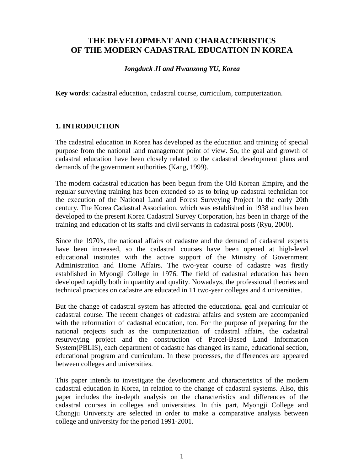# **THE DEVELOPMENT AND CHARACTERISTICS OF THE MODERN CADASTRAL EDUCATION IN KOREA**

### *Jongduck JI and Hwanzong YU, Korea*

**Key words**: cadastral education, cadastral course, curriculum, computerization.

# **1. INTRODUCTION**

The cadastral education in Korea has developed as the education and training of special purpose from the national land management point of view. So, the goal and growth of cadastral education have been closely related to the cadastral development plans and demands of the government authorities (Kang, 1999).

The modern cadastral education has been begun from the Old Korean Empire, and the regular surveying training has been extended so as to bring up cadastral technician for the execution of the National Land and Forest Surveying Project in the early 20th century. The Korea Cadastral Association, which was established in 1938 and has been developed to the present Korea Cadastral Survey Corporation, has been in charge of the training and education of its staffs and civil servants in cadastral posts (Ryu, 2000).

Since the 1970's, the national affairs of cadastre and the demand of cadastral experts have been increased, so the cadastral courses have been opened at high-level educational institutes with the active support of the Ministry of Government Administration and Home Affairs. The two-year course of cadastre was firstly established in Myongji College in 1976. The field of cadastral education has been developed rapidly both in quantity and quality. Nowadays, the professional theories and technical practices on cadastre are educated in 11 two-year colleges and 4 universities.

But the change of cadastral system has affected the educational goal and curricular of cadastral course. The recent changes of cadastral affairs and system are accompanied with the reformation of cadastral education, too. For the purpose of preparing for the national projects such as the computerization of cadastral affairs, the cadastral resurveying project and the construction of Parcel-Based Land Information System(PBLIS), each department of cadastre has changed its name, educational section, educational program and curriculum. In these processes, the differences are appeared between colleges and universities.

This paper intends to investigate the development and characteristics of the modern cadastral education in Korea, in relation to the change of cadastral systems. Also, this paper includes the in-depth analysis on the characteristics and differences of the cadastral courses in colleges and universities. In this part, Myongji College and Chongju University are selected in order to make a comparative analysis between college and university for the period 1991-2001.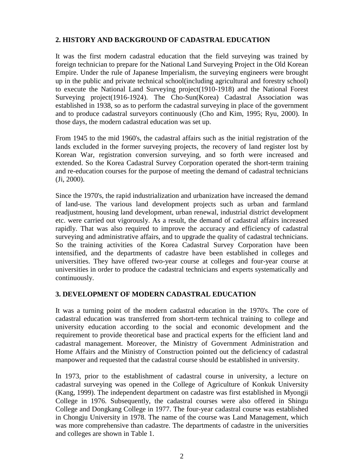## **2. HISTORY AND BACKGROUND OF CADASTRAL EDUCATION**

It was the first modern cadastral education that the field surveying was trained by foreign technician to prepare for the National Land Surveying Project in the Old Korean Empire. Under the rule of Japanese Imperialism, the surveying engineers were brought up in the public and private technical school(including agricultural and forestry school) to execute the National Land Surveying project(1910-1918) and the National Forest Surveying project(1916-1924). The Cho-Sun(Korea) Cadastral Association was established in 1938, so as to perform the cadastral surveying in place of the government and to produce cadastral surveyors continuously (Cho and Kim, 1995; Ryu, 2000). In those days, the modern cadastral education was set up.

From 1945 to the mid 1960's, the cadastral affairs such as the initial registration of the lands excluded in the former surveying projects, the recovery of land register lost by Korean War, registration conversion surveying, and so forth were increased and extended. So the Korea Cadastral Survey Corporation operated the short-term training and re-education courses for the purpose of meeting the demand of cadastral technicians (Ji, 2000).

Since the 1970's, the rapid industrialization and urbanization have increased the demand of land-use. The various land development projects such as urban and farmland readjustment, housing land development, urban renewal, industrial district development etc. were carried out vigorously. As a result, the demand of cadastral affairs increased rapidly. That was also required to improve the accuracy and efficiency of cadastral surveying and administrative affairs, and to upgrade the quality of cadastral technicians. So the training activities of the Korea Cadastral Survey Corporation have been intensified, and the departments of cadastre have been established in colleges and universities. They have offered two-year course at colleges and four-year course at universities in order to produce the cadastral technicians and experts systematically and continuously.

### **3. DEVELOPMENT OF MODERN CADASTRAL EDUCATION**

It was a turning point of the modern cadastral education in the 1970's. The core of cadastral education was transferred from short-term technical training to college and university education according to the social and economic development and the requirement to provide theoretical base and practical experts for the efficient land and cadastral management. Moreover, the Ministry of Government Administration and Home Affairs and the Ministry of Construction pointed out the deficiency of cadastral manpower and requested that the cadastral course should be established in university.

In 1973, prior to the establishment of cadastral course in university, a lecture on cadastral surveying was opened in the College of Agriculture of Konkuk University (Kang, 1999). The independent department on cadastre was first established in Myongji College in 1976. Subsequently, the cadastral courses were also offered in Shingu College and Dongkang College in 1977. The four-year cadastral course was established in Chongju University in 1978. The name of the course was Land Management, which was more comprehensive than cadastre. The departments of cadastre in the universities and colleges are shown in Table 1.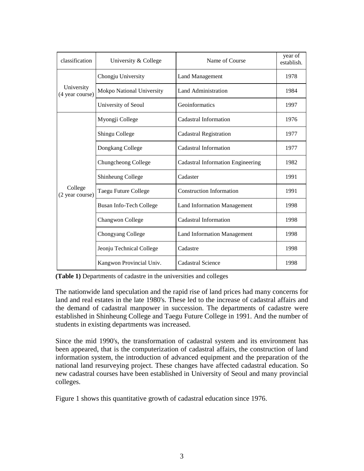| classification                                              | University & College      | Name of Course                           | year of<br>establish. |
|-------------------------------------------------------------|---------------------------|------------------------------------------|-----------------------|
|                                                             | Chongju University        | <b>Land Management</b>                   | 1978                  |
| University<br>(4 year course)<br>College<br>(2 year course) | Mokpo National University | Land Administration                      | 1984                  |
|                                                             | University of Seoul       | Geoinformatics                           | 1997                  |
|                                                             | Myongji College           | Cadastral Information                    | 1976                  |
|                                                             | Shingu College            | <b>Cadastral Registration</b>            | 1977                  |
|                                                             | Dongkang College          | Cadastral Information                    | 1977                  |
|                                                             | Chungcheong College       | <b>Cadastral Information Engineering</b> | 1982                  |
|                                                             | Shinheung College         | Cadaster                                 | 1991                  |
|                                                             | Taegu Future College      | <b>Construction Information</b>          | 1991                  |
|                                                             | Busan Info-Tech College   | <b>Land Information Management</b>       | 1998                  |
|                                                             | Changwon College          | Cadastral Information                    | 1998                  |
|                                                             | Chongyang College         | <b>Land Information Management</b>       | 1998                  |
|                                                             | Jeonju Technical College  | Cadastre                                 | 1998                  |
|                                                             | Kangwon Provincial Univ.  | Cadastral Science                        | 1998                  |

| (Table 1) Departments of cadastre in the universities and colleges |  |  |  |  |
|--------------------------------------------------------------------|--|--|--|--|
|--------------------------------------------------------------------|--|--|--|--|

The nationwide land speculation and the rapid rise of land prices had many concerns for land and real estates in the late 1980's. These led to the increase of cadastral affairs and the demand of cadastral manpower in succession. The departments of cadastre were established in Shinheung College and Taegu Future College in 1991. And the number of students in existing departments was increased.

Since the mid 1990's, the transformation of cadastral system and its environment has been appeared, that is the computerization of cadastral affairs, the construction of land information system, the introduction of advanced equipment and the preparation of the national land resurveying project. These changes have affected cadastral education. So new cadastral courses have been established in University of Seoul and many provincial colleges.

Figure 1 shows this quantitative growth of cadastral education since 1976.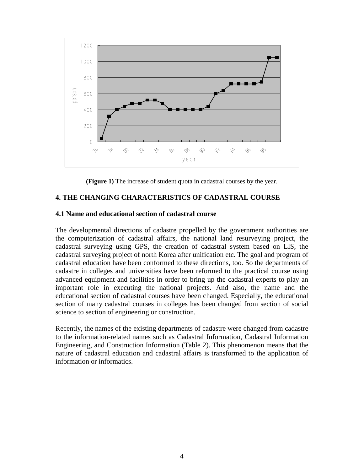

**(Figure 1)** The increase of student quota in cadastral courses by the year.

## **4. THE CHANGING CHARACTERISTICS OF CADASTRAL COURSE**

#### **4.1 Name and educational section of cadastral course**

The developmental directions of cadastre propelled by the government authorities are the computerization of cadastral affairs, the national land resurveying project, the cadastral surveying using GPS, the creation of cadastral system based on LIS, the cadastral surveying project of north Korea after unification etc. The goal and program of cadastral education have been conformed to these directions, too. So the departments of cadastre in colleges and universities have been reformed to the practical course using advanced equipment and facilities in order to bring up the cadastral experts to play an important role in executing the national projects. And also, the name and the educational section of cadastral courses have been changed. Especially, the educational section of many cadastral courses in colleges has been changed from section of social science to section of engineering or construction.

Recently, the names of the existing departments of cadastre were changed from cadastre to the information-related names such as Cadastral Information, Cadastral Information Engineering, and Construction Information (Table 2). This phenomenon means that the nature of cadastral education and cadastral affairs is transformed to the application of information or informatics.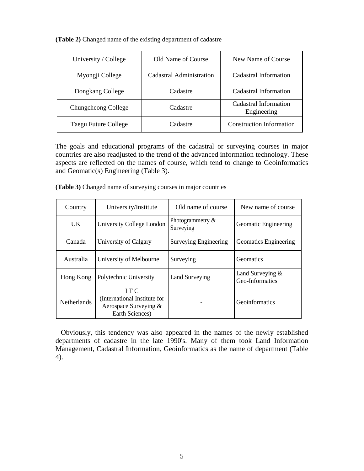|  | (Table 2) Changed name of the existing department of cadastre |  |  |  |  |
|--|---------------------------------------------------------------|--|--|--|--|
|--|---------------------------------------------------------------|--|--|--|--|

| University / College | Old Name of Course       | New Name of Course                   |
|----------------------|--------------------------|--------------------------------------|
| Myongji College      | Cadastral Administration | Cadastral Information                |
| Dongkang College     | Cadastre                 | Cadastral Information                |
| Chungcheong College  | Cadastre                 | Cadastral Information<br>Engineering |
| Taegu Future College | Cadastre                 | <b>Construction Information</b>      |

The goals and educational programs of the cadastral or surveying courses in major countries are also readjusted to the trend of the advanced information technology. These aspects are reflected on the names of course, which tend to change to Geoinformatics and Geomatic(s) Engineering (Table 3).

**(Table 3)** Changed name of surveying courses in major countries

| Country            | University/Institute                                                           | Old name of course               | New name of course                    |
|--------------------|--------------------------------------------------------------------------------|----------------------------------|---------------------------------------|
| UK.                | University College London                                                      | Photogrammetry $\&$<br>Surveying | Geomatic Engineering                  |
| Canada             | University of Calgary                                                          | <b>Surveying Engineering</b>     | Geomatics Engineering                 |
| Australia          | University of Melbourne                                                        | Surveying                        | <b>Geomatics</b>                      |
| Hong Kong          | Polytechnic University                                                         | Land Surveying                   | Land Surveying $&$<br>Geo-Informatics |
| <b>Netherlands</b> | ITC<br>International Institute for<br>Aerospace Surveying &<br>Earth Sciences) |                                  | <b>Geoinformatics</b>                 |

 Obviously, this tendency was also appeared in the names of the newly established departments of cadastre in the late 1990's. Many of them took Land Information Management, Cadastral Information, Geoinformatics as the name of department (Table 4).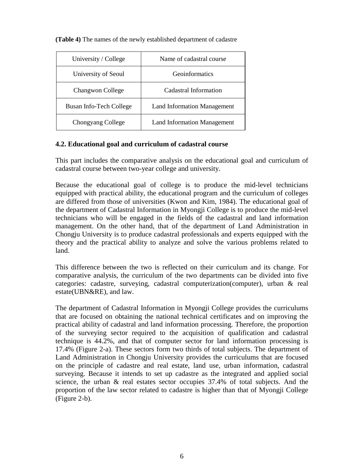| University / College    | Name of cadastral course           |  |
|-------------------------|------------------------------------|--|
| University of Seoul     | <b>Geoinformatics</b>              |  |
| Changwon College        | Cadastral Information              |  |
| Busan Info-Tech College | <b>Land Information Management</b> |  |
| Chongyang College       | <b>Land Information Management</b> |  |

**(Table 4)** The names of the newly established department of cadastre

# **4.2. Educational goal and curriculum of cadastral course**

This part includes the comparative analysis on the educational goal and curriculum of cadastral course between two-year college and university.

Because the educational goal of college is to produce the mid-level technicians equipped with practical ability, the educational program and the curriculum of colleges are differed from those of universities (Kwon and Kim, 1984). The educational goal of the department of Cadastral Information in Myongji College is to produce the mid-level technicians who will be engaged in the fields of the cadastral and land information management. On the other hand, that of the department of Land Administration in Chongju University is to produce cadastral professionals and experts equipped with the theory and the practical ability to analyze and solve the various problems related to land.

This difference between the two is reflected on their curriculum and its change. For comparative analysis, the curriculum of the two departments can be divided into five categories: cadastre, surveying, cadastral computerization(computer), urban & real estate(UBN&RE), and law.

The department of Cadastral Information in Myongji College provides the curriculums that are focused on obtaining the national technical certificates and on improving the practical ability of cadastral and land information processing. Therefore, the proportion of the surveying sector required to the acquisition of qualification and cadastral technique is 44.2%, and that of computer sector for land information processing is 17.4% (Figure 2-a). These sectors form two thirds of total subjects. The department of Land Administration in Chongju University provides the curriculums that are focused on the principle of cadastre and real estate, land use, urban information, cadastral surveying. Because it intends to set up cadastre as the integrated and applied social science, the urban & real estates sector occupies 37.4% of total subjects. And the proportion of the law sector related to cadastre is higher than that of Myongji College (Figure 2-b).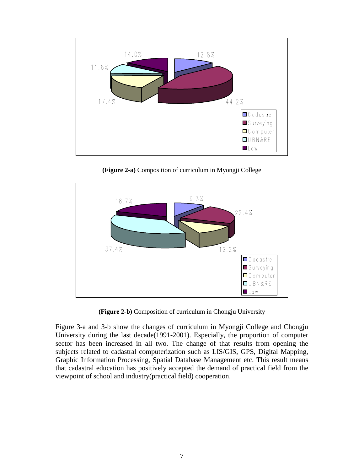

**(Figure 2-a)** Composition of curriculum in Myongji College



**(Figure 2-b)** Composition of curriculum in Chongju University

Figure 3-a and 3-b show the changes of curriculum in Myongji College and Chongju University during the last decade(1991-2001). Especially, the proportion of computer sector has been increased in all two. The change of that results from opening the subjects related to cadastral computerization such as LIS/GIS, GPS, Digital Mapping, Graphic Information Processing, Spatial Database Management etc. This result means that cadastral education has positively accepted the demand of practical field from the viewpoint of school and industry(practical field) cooperation.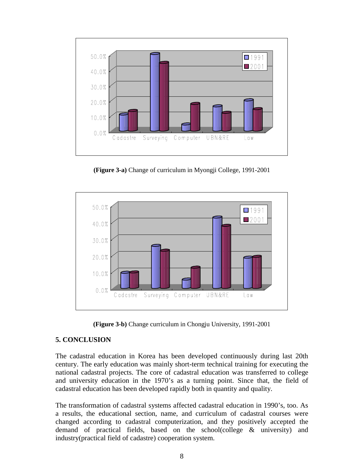

**(Figure 3-a)** Change of curriculum in Myongji College, 1991-2001



**(Figure 3-b)** Change curriculum in Chongju University, 1991-2001

# **5. CONCLUSION**

The cadastral education in Korea has been developed continuously during last 20th century. The early education was mainly short-term technical training for executing the national cadastral projects. The core of cadastral education was transferred to college and university education in the 1970's as a turning point. Since that, the field of cadastral education has been developed rapidly both in quantity and quality.

The transformation of cadastral systems affected cadastral education in 1990's, too. As a results, the educational section, name, and curriculum of cadastral courses were changed according to cadastral computerization, and they positively accepted the demand of practical fields, based on the school(college & university) and industry(practical field of cadastre) cooperation system.